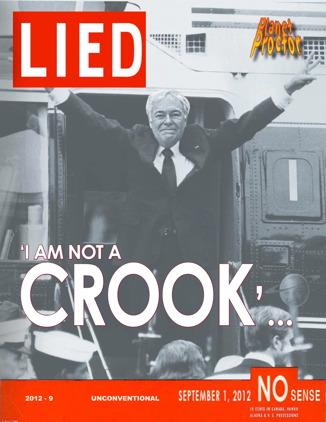

# <sup>"I AM NOT A</sup>

SENSE **SEPTEMBER 1, 2012** 

 $2012 - 9$ 

**UNCONVENTIONAL** 

**IS CENTS IN CANADA, HAWAII** ALASKA & U. S. POSSESSIONS

 $\overline{OC}$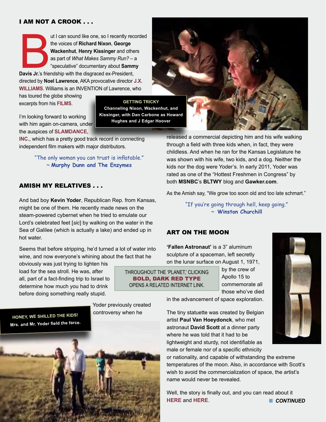#### I AM NOt A CROOK . . .

ut I can sound like one, so I recently recorded<br>the voices of Richard Nixon, George<br>Wackenhut, Henry Kissinger and others<br>as part of *What Makes Sammy Run?* – a<br>"speculative" documentary about Sammy<br>Davis Jr.'s friendship the voices of **Richard Nixon**, **George Wackenhut**, **Henry Kissinger** and others as part of *What Makes Sammy Run?* – a "speculative" documentary about **Sammy Davis Jr.**'s friendship with the disgraced ex-President, directed by **Noel Lawrence**, AKA provocative director **[J.X.](http://www.jxarchive.org)  [Williams](http://www.jxarchive.org)**. Williams is an INVENTION of Lawrence, who

has toured the globe showing excerpts from his **[films](http://www.nytimes.com/2005/10/02/movies/02cull.html)**.

**GETTING TRICKY**

**Channeling Nixon, Wackenhut, and Kissinger, with Dan Carbone as Howard Hughes and J Edgar Hoover**

I'm looking forward to working with him again on-camera, under the auspices of **[Slamdance,](http://showcase.slamdance.com/About)** 

**[Inc.](http://showcase.slamdance.com/About)**, which has a pretty good track record in connecting independent film makers with major distributors.

> "The only woman you can trust is inflatable." ~ **Murphy Dunn and The Enzymes**

#### AMISH MY RELATIVES . . .

And bad boy **Kevin Yoder**, Republican Rep. from Kansas, might be one of them. He recently made news on the steam-powered cybernet when he tried to emulate our Lord's celebrated feet [*sic*] by walking on the water in the Sea of Galilee (which is actually a lake) and ended up in hot water.

Seems that before stripping, he'd turned a lot of water into wine, and now everyone's whining about the fact that he

obviously was just trying to lighten his load for the sea stroll. He was, after all, part of a fact-finding trip to Israel to determine how much you had to drink before doing something really stupid.

> Yoder previously created controversy when he

released a commercial depicting him and his wife walking through a field with three kids when, in fact, they were childless. And when he ran for the Kansas Legislature he was shown with his wife, two kids, and a dog. Neither the kids nor the dog were Yoder's. In early 2011, Yoder was rated as one of the "Hottest Freshmen in Congress" by both **MSNBC**'s **BLTWY** blog and **Gawker.com**.

As the Amish say, "We grow too soon old and too late schmart."

"If you're going through hell, keep going." ~ **Winston Churchill**

#### ART ON THE MOON

BOLD, DARK RED TYPE

**'Fallen Astronaut'** is a 3" aluminum sculpture of a spaceman, left secretly on the lunar surface on August 1, 1971,

by the crew of Apollo 15 to commemorate all those who've died THROUGHOUT THE 'PLANET,' CLICKING OPENS A RELATED INTERNET LINK.

in the advancement of space exploration.

The tiny statuette was created by Belgian artist **Paul Van Hoeydonck**, who met astronaut **David Scott** at a dinner party where he was told that it had to be lightweight and sturdy, not identifiable as male or female nor of a specific ethnicity

or nationality, and capable of withstanding the extreme temperatures of the moon. Also, in accordance with Scott's wish to avoid the commercialization of space, the artist's name would never be revealed.

Well, the story is finally out, and you can read about it **[HERE](http://scienceblogs.com/universe/2011/05/22/moon-arts-part-two/)** and **HERE**. *CONTINUED* 





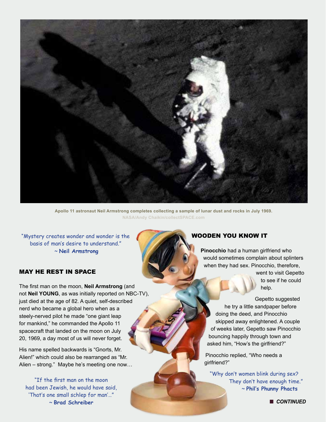

**Apollo 11 astronaut Neil Armstrong completes collecting a sample of lunar dust and rocks in July 1969. NASA/Andy Chaikin/collectSPACE.com** 

"Mystery creates wonder and wonder is the basis of man's desire to understand." ~ **Neil Armstrong**

#### MAY HE REST IN SPACE

The first man on the moon, **Neil Armstrong** (and not **Neil YOUNG**, as was initially reported on NBC-TV), just died at the age of 82. A quiet, self-described nerd who became a global hero when as a steely-nerved pilot he made "one giant leap for mankind," he commanded the Apollo 11 spacecraft that landed on the moon on July 20, 1969, a day most of us will never forget.

His name spelled backwards is "Gnorts, Mr. Alien!" which could also be rearranged as "Mr. Alien – strong." Maybe he's meeting one now…

"If the first man on the moon had been Jewish, he would have said, 'That's one small schlep for man'…" ~ **Brad Schreiber**

#### WOODEN YOU KNOW IT

**Pinocchio** had a human girlfriend who would sometimes complain about splinters when they had sex. Pinocchio, therefore,

> went to visit Gepetto to see if he could help.

Gepetto suggested he try a little sandpaper before doing the deed, and Pinocchio skipped away enlightened. A couple of weeks later, Gepetto saw Pinocchio bouncing happily through town and asked him, "How's the girlfriend?"

Pinocchio replied, "Who needs a girlfriend?"

"Why don't women blink during sex? They don't have enough time." ~ **Phil's Phunny Phacts**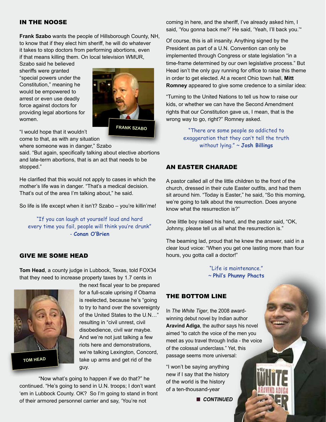#### IN THE NOOSE

**Frank Szabo** wants the people of Hillsborough County, NH, to know that if they elect him sheriff, he will do whatever it takes to stop doctors from performing abortions, even if that means killing them. On local television WMUR,

Szabo said he believed sheriffs were granted "special powers under the Constitution," meaning he would be empowered to arrest or even use deadly force against doctors for providing legal abortions for women.



"I would hope that it wouldn't

come to that, as with any situation where someone was in danger," Szabo

said. "But again, specifically talking about elective abortions and late-term abortions, that is an act that needs to be stopped."

He clarified that this would not apply to cases in which the mother's life was in danger. "That's a medical decision. That's out of the area I'm talking about," he said.

So life is life except when it isn't? Szabo – you're killin'me!

"If you can laugh at yourself loud and hard every time you fail, people will think you're drunk" - **Conan O'Brien** 

#### GIVE ME SOME HEAD

**Tom Head**, a county judge in Lubbock, Texas, told FOX34 that they need to increase property taxes by 1.7 cents in



the next fiscal year to be prepared for a full-scale uprising if Obama is reelected, because he's "going to try to hand over the sovereignty of the United States to the U.N…" resulting in "civil unrest, civil disobedience, civil war maybe. And we're not just talking a few riots here and demonstrations, we're talking Lexington, Concord, take up arms and get rid of the guy.

"Now what's going to happen if we do that?" he continued. "He's going to send in U.N. troops; I don't want 'em in Lubbock County. OK? So I'm going to stand in front of their armored personnel carrier and say, 'You're not

coming in here, and the sheriff, I've already asked him, I said, 'You gonna back me?' He said, 'Yeah, I'll back you.'"

Of course, this is all insanity. Anything signed by the President as part of a U.N. Convention can only be implemented through Congress or state legislation "in a time-frame determined by our own legislative process." But Head isn't the only guy running for office to raise this theme in order to get elected. At a recent Ohio town hall, **Mitt Romney** appeared to give some credence to a similar idea:

"Turning to the United Nations to tell us how to raise our kids, or whether we can have the Second Amendment rights that our Constitution gave us, I mean, that is the wrong way to go, right?" Romney asked.

> "There are some people so addicted to exaggeration that they can't tell the truth without lying." ~ **Josh Billings**

#### AN EASTER CHARADE

A pastor called all of the little children to the front of the church, dressed in their cute Easter outfits, and had them sit around him. "Today is Easter," he said, "So this morning, we're going to talk about the resurrection. Does anyone know what the resurrection is?"

One little boy raised his hand, and the pastor said, "OK, Johnny, please tell us all what the resurrection is."

The beaming lad, proud that he knew the answer, said in a clear loud voice: "When you get one lasting more than four hours, you gotta call a doctor!"

> "Life is maintenance." ~ **Phil's Phunny Phacts**

#### THE BOTTOM LINE

In *The White Tiger*, the 2008 awardwinning debut novel by Indian author **Aravind Adiga**, the author says his novel aimed "to catch the voice of the men you meet as you travel through India - the voice of the colossal underclass." Yet, this passage seems more universal:

"I won't be saying anything new if I say that the history of the world is the history of a ten-thousand-year

**n** CONTINUED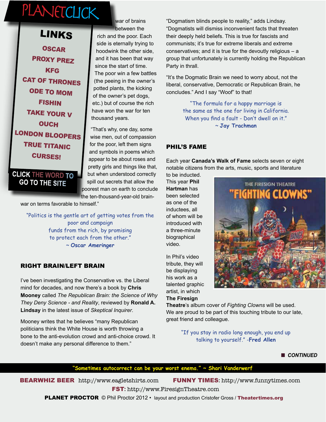### PLANETCLICK

**[OSCAR](http://www.jazzonthetube.com/videos/oscar-peterson/a-piano-lesson-with-oscar-peterson.html)** [PROXY PREZ](http://www.stevebridges.com/obamavideos-promo-Aug-2011.html) **[KFG](http://www.funnyordie.com/videos/e86050c415/kfc-loves-gays-with-john-goodman)** [CAT OF THRONES](https://www.youtube.com/watch?v=vEg4SEch27w) [ODE TO MOM](http://www.youtube.com/watch?v=osWuWjbeO-Y) [FISHIN](http://youtu.be/4Clh2HYJVMw) [TAKE YOUR V](http://www.youtube.com/watch?v=tuF4kdktyrE) **[OUCH](http://devour.com/video/people-walking-into-stuff/)** [LONDON BLOOPERS](http://www.youtube.com/watch?v=YiJGluRNoQI) [TRUE TITANIC](http://www.youtube.com/watch?v=s6mMvBeEPT4&feature=relmfu) [CURSES!](http://www.yiddishcursesforrepublicanjews.com/#) LINKS

**CLICK THE WORD TO GO TO THE SITE**

war of brains between the rich and the poor. Each side is eternally trying to hoodwink the other side, and it has been that way since the start of time. The poor win a few battles (the peeing in the owner's potted plants, the kicking of the owner's pet dogs, etc.) but of course the rich have won the war for ten thousand years.

"That's why, one day, some wise men, out of compassion for the poor, left them signs and symbols in poems which appear to be about roses and pretty girls and things like that, but when understood correctly spill out secrets that allow the poorest man on earth to conclude the ten-thousand-year-old brain-

war on terms favorable to himself."

"Politics is the gentle art of getting votes from the poor and campaign funds from the rich, by promising to protect each from the other." ~ **Oscar Ameringer**

#### RIGHT BRAIN/LEFT BRAIN

I've been investigating the Conservative vs. the Liberal mind for decades, and now there's a book by **Chris Mooney** called *The Republican Brain: the Science of Why They Deny Science - and Reality*, reviewed by **Ronald A. Lindsay** in the latest issue of *Skeptical Inquirer*.

Mooney writes that he believes "many Republican politicians think the White House is worth throwing a bone to the anti-evolution crowd and anti-choice crowd. It doesn't make any personal difference to them."

"Dogmatism blinds people to reality," adds Lindsay. "Dogmatists will dismiss inconvenient facts that threaten their deeply held beliefs. This is true for fascists and communists; it's true for extreme liberals and extreme conservatives; and it is true for the devoutly religious – a group that unfortunately is currently holding the Republican Party in thrall.

"It's the Dogmatic Brain we need to worry about, not the liberal, conservative, Democratic or Republican Brain, he concludes." And I say "Woof" to that!

> "The formula for a happy marriage is the same as the one for living in California. When you find a fault - Don't dwell on it." ~ **Jay Trachman**

#### PHIL'S FAME

Each year **Canada's Walk of Fame** selects seven or eight notable citizens from the arts, music, sports and literature

to be inducted. This year **Phil Hartman** has been selected as one of the inductees, all of whom will be introduced with a three-minute biographical video.

In Phil's video tribute, they will be displaying his work as a talented graphic artist, in which **The Firesign** 

THE FIRESIGN THEATRE **IGHTING CLOWNS"** 

**Theatre**'s album cover of *Fighting Clowns* will be used. We are proud to be part of this touching tribute to our late, great friend and colleague.

> "If you stay in radio long enough, you end up talking to yourself." -**Fred Allen**

> > **n** CONTINUED

#### **"Sometimes autocorrect can be your worst enema." ~ Shari Vanderwerf**

BEARWHIZ BEER <http://www.eagletshirts.com> FUNNY TIMES**:** <http://www.funnytimes.com>

FST**:** <http://www.FiresignTheatre.com>

**PLANET PROCTOR** © Phil Proctor 2012 • layout and production Cristofer Gross / [Theatertimes.org](http://www.theatertimes.org)